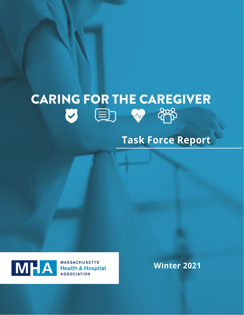# **CARING FOR THE CAREGIVER key point of the point of the page.**

## **Task Force Report**



**ASSOCIATION** 

**Winter 2021**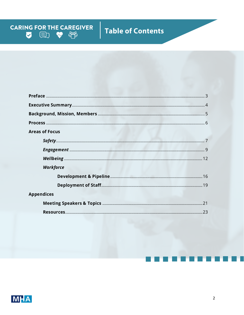## Table of Contents

**CARING FOR THE CAREGIVER**<br>  $\bigotimes$   $\bigoplus$   $\bigoplus$   $\bigoplus$ 

| <b>Areas of Focus</b> |  |
|-----------------------|--|
|                       |  |
|                       |  |
|                       |  |
| Workforce             |  |
|                       |  |
|                       |  |
| <b>Appendices</b>     |  |
|                       |  |
|                       |  |

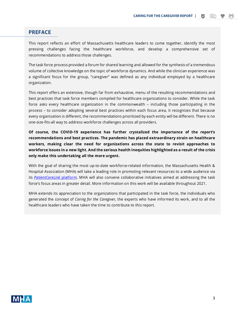## **PREFACE**

This report reflects an effort of Massachusetts healthcare leaders to come together, identify the most pressing challenges facing the healthcare workforce, and develop a comprehensive set of recommendations to address those challenges.

The task force process provided a forum for shared learning and allowed for the synthesis of a tremendous volume of collective knowledge on the topic of workforce dynamics. And while the clinician experience was a significant focus for the group, "caregiver" was defined as any individual employed by a healthcare organization.

This report offers an extensive, though far from exhaustive, menu of the resulting recommendations and best practices that task force members compiled for healthcare organizations to consider. While the task force asks every healthcare organization in the commonwealth – including those participating in the process – to consider adopting several best practices within each focus area, it recognizes that because every organization is different, the recommendations prioritized by each entity will be different. There is no one-size-fits-all way to address workforce challenges across all providers.

**Of course, the COVID-19 experience has further crystalized the importance of the report's recommendations and best practices. The pandemic has placed extraordinary strain on healthcare workers, making clear the need for organizations across the state to revisit approaches to workforce issues in a new light. And the serious health inequities highlighted as a result of the crisis only make this undertaking all the more urgent.**

With the goal of sharing the most up-to-date workforce-related information, the Massachusetts Health & Hospital Association (MHA) will take a leading role in promoting relevant resources to a wide audience via its *[PatientCareLink](https://patientcarelink.org/)* platform. MHA will also convene collaborative initiatives aimed at addressing the task force's focus areas in greater detail. More information on this work will be available throughout 2021.

MHA extends its appreciation to the organizations that participated in the task force, the individuals who generated the concept of *Caring for the Caregiver,* the experts who have informed its work, and to all the healthcare leaders who have taken the time to contribute to this report.

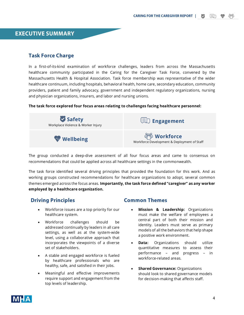**CARING FOR THE CAREGIVER REPORT |**



## **Task Force Charge**

In a first-of-its-kind examination of workforce challenges, leaders from across the Massachusetts healthcare community participated in the Caring for the Caregiver Task Force, convened by the Massachusetts Health & Hospital Association. Task force membership was representative of the wider healthcare continuum, including hospitals, behavioral health, home care, secondary education, community providers, patient and family advocacy, government and independent regulatory organizations, nursing and physician organizations, insurers, and labor and nursing unions.

#### **The task force explored four focus areas relating to challenges facing healthcare personnel:**



The group conducted a deep-dive assessment of all four focus areas and came to consensus on recommendations that could be applied across all healthcare settings in the commonwealth.

The task force identified several driving principles that provided the foundation for this work. And as working groups constructed recommendations for healthcare organizations to adopt, several common themes emerged across the focus areas. **Importantly, the task force defined "caregiver" as any worker employed by a healthcare organization.**

## **Driving Principles**

- Workforce issues are a top priority for our healthcare system.
- Workforce challenges should be addressed continually by leaders in all care settings, as well as at the system-wide level, using a collaborative approach that incorporates the viewpoints of a diverse set of stakeholders.
- A stable and engaged workforce is fueled by healthcare professionals who are healthy, safe, and satisfied in their jobs.
- Meaningful and effective improvements require support and engagement from the top levels of leadership.

## **Common Themes**

- **Mission & Leadership:** Organizations must make the welfare of employees a central part of both their mission and identity. Leaders must serve as primary models of all the behaviors that help shape a positive work environment.
- **Data:** Organizations should utilize quantitative measures to assess their performance – and progress – in workforce-related areas.
- **Shared Governance:** Organizations should look to shared governance models for decision-making that affects staff.

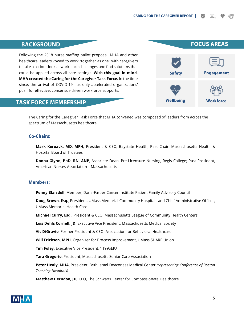## **BACKGROUND**

Following the 2018 nurse staffing ballot proposal, MHA and other healthcare leaders vowed to work "together as one" with caregivers to take a serious look at workplace challenges and find solutions that could be applied across all care settings. **With this goal in mind, MHA created the Caring for the Caregiver Task Force.** In the time since, the arrival of COVID-19 has only accelerated organizations' push for effective, consensus-driven workforce supports.

## **TASK FORCE MEMBERSHIP**

The Caring for the Caregiver Task Force that MHA convened was composed of leaders from across the spectrum of Massachusetts healthcare.

## **Co-Chairs:**

**Mark Keroack, MD**, **MPH,** President & CEO, Baystate Health; Past Chair, Massachusetts Health & Hospital Board of Trustees

**Donna Glynn, PhD, RN, ANP**, Associate Dean, Pre-Licensure Nursing, Regis College; Past President, American Nurses Association – Massachusetts

### **Members:**

**Penny Blaisdell**, Member, Dana-Farber Cancer Institute Patient Family Advisory Council

**Doug Brown, Esq.**, President, UMass Memorial Community Hospitals and Chief Administrative Officer, UMass Memorial Health Care

**Michael Curry, Esq.**, President & CEO, Massachusetts League of Community Health Centers

**Lois Dehls Cornell, JD**, Executive Vice President, Massachusetts Medical Society

**Vic DiGravio**, Former President & CEO, Association for Behavioral Healthcare

**Will Erickson, MPH**, Organizer for Process Improvement, UMass SHARE Union

**Tim Foley**, Executive Vice President, 1199SEIU

**Tara Gregorio**, President, Massachusetts Senior Care Association

**Peter Healy, MHA**, President, Beth Israel Deaconess Medical Center *(representing Conference of Boston Teaching Hospitals)* 

**Matthew Herndon, JD,** CEO, The Schwartz Center for Compassionate Healthcare



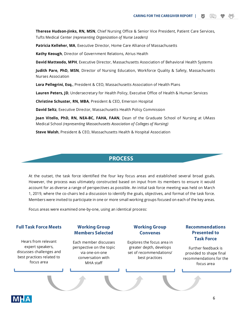**Therese Hudson-Jinks, RN, MSN**, Chief Nursing Office & Senior Vice President, Patient Care Services, Tufts Medical Center *(representing Organization of Nurse Leaders)* 

Patricia Kelleher, MA, Executive Director, Home Care Alliance of Massachusetts

**Kathy Keough**, Director of Government Relations, Atrius Health

**David Matteodo, MPH**, Executive Director, Massachusetts Association of Behavioral Health Systems

**Judith Pare, PhD, MSN**, Director of Nursing Education, Workforce Quality & Safety, Massachusetts Nurses Association

**Lora Pellegrini, Esq.**, President & CEO, Massachusetts Association of Health Plans

**Lauren Peters, JD**, Undersecretary for Health Policy, Executive Office of Health & Human Services

**Christine Schuster, RN, MBA**, President & CEO, Emerson Hospital

**David Seltz**, Executive Director, Massachusetts Health Policy Commission

**Joan Vitello, PhD, RN, NEA-BC, FAHA, FAAN**, Dean of the Graduate School of Nursing at UMass Medical School *(representing Massachusetts Association of Colleges of Nursing)*

**Steve Walsh**, President & CEO, Massachusetts Health & Hospital Association

## **PROCESS**

At the outset, the task force identified the four key focus areas and established several broad goals. However, the process was ultimately constructed based on input from its members to ensure it would account for as diverse a range of perspectives as possible. An initial task force meeting was held on March 1, 2019, where the co-chairs led a discussion to identify the goals, objectives, and format of the task force. Members were invited to participate in one or more small working groups focused on each of the key areas.

Focus areas were examined one-by-one, using an identical process:

#### **Full Task Force Meets**

Hears from relevant expert speakers, discusses challenges and best practices related to focus area

### **Working Group Members Selected**

Each member discusses perspective on the topic via one-on-one conversation with MHA staff

## **Working Group Convenes**

Explores the focus area in greater depth, develops set of recommendations/ best practices

## **Recommendations Presented to Task Force**

Further feedback is provided to shape final recommendations for the focus area

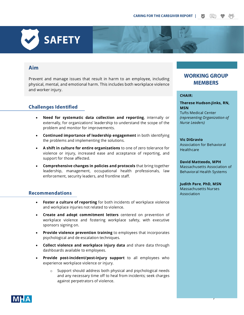## **Aim**

Prevent and manage issues that result in harm to an employee, including physical, mental, and emotional harm. This includes both workplace violence and worker injury.

## **Challenges Identified**

**SAFETY**

- **Need for systematic data collection and reporting**, internally or externally, for organizations' leadership to understand the scope of the problem and monitor for improvements.
- **Continued importance of leadership engagement** in both identifying the problems and implementing the solutions.
- **A shift in culture for entire organizations** to one of zero tolerance for violence or injury, increased ease and acceptance of reporting, and support for those affected.
- **Comprehensive changes in policies and protocols** that bring together leadership, management, occupational health professionals, law enforcement, security leaders, and frontline staff.

## **Recommendations**

- **Foster a culture of reporting** for both incidents of workplace violence and workplace injuries not related to violence.
- **Create and adopt commitment letters** centered on prevention of workplace violence and fostering workplace safety, with executive sponsors signing on.
- **Provide violence prevention training** to employees that incorporates psychological and de-escalation techniques.
- **Collect violence and workplace injury data** and share data through dashboards available to employees.
- **Provide post-incident/post-injury support** to all employees who experience workplace violence or injury.
	- o Support should address both physical and psychological needs and any necessary time off to heal from incidents; seek charges against perpetrators of violence.

## **WORKING GROUP MEMBERS**

#### **CHAIR:**

**Therese Hudson-Jinks, RN, MSN**  Tufts Medical Center *(representing Organization of Nurse Leaders)*

#### **Vic DiGravio**

Association for Behavioral **Healthcare** 

**David Matteodo, MPH** Massachusetts Association of Behavioral Health Systems

7

**Judith Pare**, **PhD, MSN** Massachusetts Nurses Association

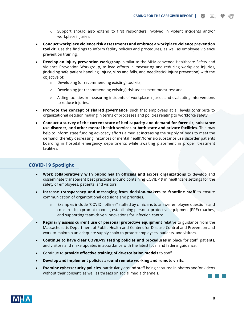ſ≡h

- o Support should also extend to first responders involved in violent incidents and/or workplace injuries.
- **Conduct workplace violence risk assessments and embrace a workplace violence prevention toolkit.** Use the findings to inform facility policies and procedures, as well as employee violence prevention training.
- **Develop an injury prevention workgroup**, similar to the MHA-convened Healthcare Safety and Violence Prevention Workgroup, to lead efforts in measuring and reducing workplace injuries, (including safe patient handling, injury, slips and falls, and needlestick injury prevention) with the objective of:
	- o Developing (or recommending existing) toolkits;
	- $\circ$  Developing (or recommending existing) risk assessment measures; and
	- o Aiding facilities in measuring incidents of workplace injuries and evaluating interventions to reduce injuries.
- **Promote the concept of shared governance**, such that employees at all levels contribute to organizational decision making in terms of processes and policies relating to workforce safety.
- **Conduct a survey of the current state of bed capacity and demand for forensic, substance use disorder, and other mental health services at both state and private facilities.** This may help to inform state funding advocacy efforts aimed at increasing the supply of beds to meet the demand, thereby decreasing instances of mental health/forensic/substance use disorder patients boarding in hospital emergency departments while awaiting placement in proper treatment facilities.

## **COVID-19 Spotlight**

- **Work collaboratively with public health officials and across organizations** to develop and disseminate transparent best practices around containing COVID-19 in healthcare settings for the safety of employees, patients, and visitors.
- **Increase transparency and messaging from decision-makers to frontline staff** to ensure communication of organizational decisions and priorities.
	- o Examples include "COVID hotlines" staffed by clinicians to answer employee questions and concerns in a prompt manner, establishing personal protective equipment (PPE) coaches, and supporting team-driven innovations for infection control.
- **Regularly assess current use of personal protective equipment** relative to guidance from the Massachusetts Department of Public Health and Centers for Disease Control and Prevention and work to maintain an adequate supply chain to protect employees, patients, and visitors.
- **Continue to have clear COVID-19 testing policies and procedures** in place for staff, patients, and visitors and make updates in accordance with the latest local and federal guidance.
- Continue to **provide effective training of de-escalation models** to staff.
- **Develop and implement policies around remote working and remote visits.**
- **Examine cybersecurity policies**, particularly around staff being captured in photos and/or videos without their consent, as well as threats on social media channels.

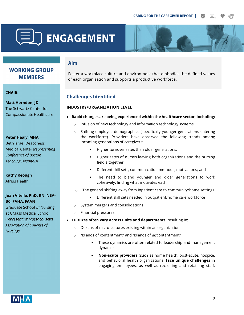



## **Aim**

**WORKING GROUP MEMBERS** 

#### **CHAIR:**

**Matt Herndon, JD** The Schwartz Center for Compassionate Healthcare

#### **Peter Healy, MHA**

**Beth Israel Deaconess** Medical Center (representing Conference of Boston **Teaching Hospitals)** 

## **Kathy Keough**

**Atrius Health** 

## **Joan Vitello, PhD, RN, NEA-BC, FAHA, FAAN**

**Graduate School of Nursing** at UMass Medical School (representing Massachusetts **Association of Colleges of** Nursing)

Foster a workplace culture and environment that embodies the defined values of each organization and supports a productive workforce.

## **Challenges Identified**

## **INDUSTRY/ORGANIZATION LEVEL**

- **Rapid changes are being experienced within the healthcare sector, including:**
	- o Infusion of new technology and information technology systems
	- o Shifting employee demographics (specifically younger generations entering the workforce). Providers have observed the following trends among incoming generations of caregivers:
		- Higher turnover rates than older generations;
		- Higher rates of nurses leaving both organizations and the nursing field altogether;
		- Different skill sets, communication methods, motivations; and
		- The need to blend younger and older generations to work cohesively, finding what motivates each.
	- o The general shifting away from inpatient care to community/home settings
		- Different skill sets needed in outpatient/home care workforce
	- o System mergers and consolidations
	- o Financial pressures
- **Cultures often vary across units and departments**, resulting in:
	- o Dozens of micro-cultures existing within an organization
	- o "Islands of contentment" and "Islands of *dis*contentment"
		- These dynamics are often related to leadership and management dynamics
		- **Non-acute providers** (such as home health, post-acute, hospice, and behavioral health organizations) **face unique challenges** in engaging employees, as well as recruiting and retaining staff.

**MHA**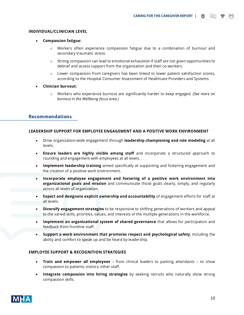#### **INDIVIDUAL/CLINICIAN LEVEL**

- **Compassion fatigue:** 
	- o Workers often experience compassion fatigue due to a combination of burnout and secondary traumatic stress.
	- $\circ$  Strong compassion can lead to emotional exhaustion if staff are not given opportunities to debrief and access support from the organization and their co-workers.
	- $\circ$  Lower compassion from caregivers has been linked to lower patient satisfaction scores, according to the Hospital Consumer Assessment of Healthcare Providers and Systems.
- **Clinician burnout:**
	- o Workers who experience burnout are significantly harder to keep engaged. *(See more on burnout in the Wellbeing focus area.)*

## **Recommendations**

#### **LEADERSHIP SUPPORT FOR EMPLOYEE ENGAGEMENT AND A POSITIVE WORK ENVIRONMENT**

- Drive organization-wide engagement through **leadership championing and role modeling** at all levels.
- **Ensure leaders are highly visible among staff** and incorporate a structured approach to rounding and engagement with employees at all levels.
- **Implement leadership training** aimed specifically at supporting and fostering engagement and the creation of a positive work environment.
- **Incorporate employee engagement and fostering of a positive work environment into organizational goals and mission** and communicate those goals clearly, simply, and regularly across all levels of organization.
- **Expect and designate explicit ownership and accountability** of engagement efforts for staff at all levels.
- **Diversify engagement strategies** to be responsive to shifting generations of workers and appeal to the varied skills, priorities, values, and interests of the multiple generations in the workforce.
- **Implement an organizational system of shared governance** that allows for participation and feedback from frontline staff.
- **Support a work environment that promotes respect and psychological safety**, including the ability and comfort to speak up and be heard by leadership.

#### **EMPLOYEE SUPPORT & RECOGNITION STRATEGIES**

- **Train and empower** *all* **employees**  from clinical leaders to parking attendants to show compassion to patients, visitors, other staff.
- **Integrate compassion into hiring strategies** by seeking recruits who naturally show strong compassion skills.

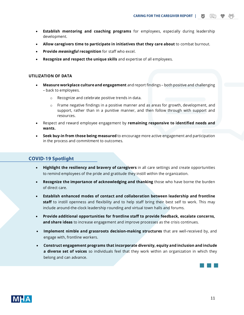**CARING FOR THE CAREGIVER REPORT |**

- **Establish mentoring and coaching programs** for employees, especially during leadership development.
- **Allow caregivers time to participate in initiatives that they care about** to combat burnout.
- **Provide** *meaningful* **recognition** for staff who excel.
- **Recognize and respect the unique skills** and expertise of all employees.

#### **UTILIZATION OF DATA**

- **Measure workplace culture and engagement** and report findings both positive and challenging – back to employees.
	- o Recognize and celebrate positive trends in data.
	- $\circ$  Frame negative findings in a positive manner and as areas for growth, development, and support, rather than in a punitive manner, and then follow through with support and resources.
- Respect and reward employee engagement by **remaining responsive to identified needs and wants.**
- **Seek buy-in from those being measured** to encourage more active engagement and participation in the process and commitment to outcomes.

## **COVID-19 Spotlight**

- **Highlight the resiliency and bravery of caregivers** in all care settings and create opportunities to remind employees of the pride and gratitude they instill within the organization.
- **Recognize the importance of acknowledging and thanking** those who have borne the burden of direct care.
- **Establish enhanced modes of contact and collaboration between leadership and frontline staff** to instill openness and flexibility and to help staff bring their best self to work. This may include around-the-clock leadership rounding and virtual town halls and forums.
- **Provide additional opportunities for frontline staff to provide feedback, escalate concerns, and share ideas** to increase engagement and improve processes as the crisis continues.
- **Implement nimble and grassroots decision-making structures** that are well-received by, and engage with, frontline workers.
- **Construct engagement programs that incorporate diversity, equity and inclusion and include a diverse set of voices** so individuals feel that they work within an organization in which they belong and can advance.



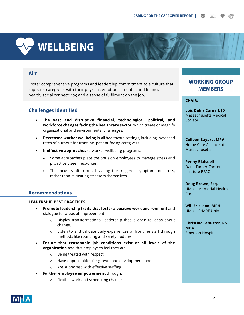# **WELLBEING**

## **Aim**

Foster comprehensive programs and leadership commitment to a culture that supports caregivers with their physical, emotional, mental, and financial health; social connectivity; and a sense of fulfilment on the job.

## **Challenges Identified**

- **The vast and disruptive financial, technological, political, and workforce changes facing the healthcare sector**, which create or magnify organizational and environmental challenges.
- **Decreased worker wellbeing** in all healthcare settings, including increased rates of burnout for frontline, patient-facing caregivers.
- **Ineffective approaches** to worker wellbeing programs.
	- Some approaches place the onus on employees to manage stress and proactively seek resources.
	- The focus is often on alleviating the triggered symptoms of stress, rather than mitigating stressors themselves.

## **Recommendations**

#### **LEADERSHIP BEST PRACTICES**

- **Promote leadership traits that foster a positive work environment** and dialogue for areas of improvement.
	- o Display transformational leadership that is open to ideas about change.
	- o Listen to and validate daily experiences of frontline staff through methods like rounding and safety huddles.
- **Ensure that reasonable job conditions exist at all levels of the organization** and that employees feel they are:
	- o Being treated with respect;
	- o Have opportunities for growth and development; and
	- o Are supported with effective staffing.
- **Further employee empowerment** through:
	- o Flexible work and scheduling changes;

## **WORKING GROUP MEMBERS**

**CHAIR:**

**Lois Dehls Cornell, JD** Massachusetts Medical Society

**Colleen Bayard, MPA** Home Care Alliance of **Massachusetts** 

**Penny Blaisdell** Dana-Farber Cancer Institute PFAC

**Doug Brown, Esq.** UMass Memorial Health Care

**Will Erickson, MPH** UMass SHARE Union

**Christine Schuster, RN, MBA** Emerson Hospital

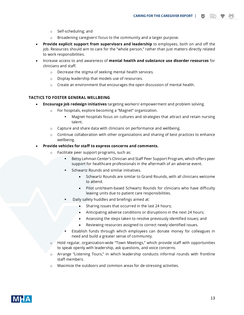- o Self-scheduling; and
- $\circ$  Broadening caregivers' focus to the community and a larger purpose.
- **Provide explicit support from supervisors and leadership** to employees, both on and off the job. Resources should aim to care for the "whole person," rather than just matters directly related to work responsibilities.
- Increase access to and awareness of **mental health and substance use disorder resources** for clinicians and staff.
	- o Decrease the stigma of seeking mental health services.
	- o Display leadership that models use of resources.
	- o Create an environment that encourages the open discussion of mental health.

## **TACTICS TO FOSTER GENERAL WELLBEING**

- **Encourage job redesign initiatives** targeting workers' empowerment and problem solving.
	- o For hospitals, explore becoming a "Magnet" organization.
		- Magnet hospitals focus on cultures and strategies that attract and retain nursing talent.
	- $\circ$  Capture and share data with clinicians on performance and wellbeing.
	- $\circ$  Continue collaboration with other organizations and sharing of best practices to enhance wellbeing.

#### • **Provide vehicles for staff to express concerns and comments.**

- o Facilitate peer support programs, such as:
	- Betsy Lehman Center's Clinician and Staff Peer Support Program*,* which offers peer support for healthcare professionals in the aftermath of an adverse event.
	- Schwartz Rounds and similar initiatives.
		- Schwartz Rounds are similar to Grand Rounds, with all clinicians welcome to attend.
		- Pilot unit/team-based Schwartz Rounds for clinicians who have difficulty leaving units due to patient care responsibilities.
	- Daily safety huddles and briefings aimed at:
		- Sharing issues that occurred in the last 24 hours;
		- Anticipating adverse conditions or disruptions in the next 24 hours;
		- Assessing the steps taken to resolve previously identified issues; and
		- Reviewing resources assigned to correct newly identified issues.
	- Establish funds through which employees can donate money for colleagues in need and build a greater sense of community.
- o Hold regular, organization-wide "Town Meetings," which provide staff with opportunities to speak openly with leadership, ask questions, and voice concerns.
- o Arrange "Listening Tours," in which leadership conducts informal rounds with frontline staff members.
- o Maximize the outdoors and common areas for de-stressing activities.

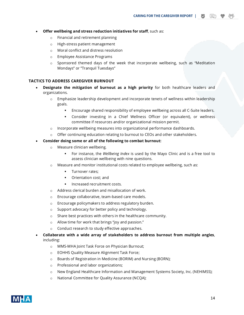**CARING FOR THE CAREGIVER REPORT |**

- **Offer wellbeing and stress reduction initiatives for staff**, such as:
	- o Financial and retirement planning
	- o High-stress patient management
	- o Moral conflict and distress resolution
	- o Employee Assistance Programs
	- $\circ$  Sponsored themed days of the week that incorporate wellbeing, such as "Meditation Mondays" or "Tranquil Tuesdays"

#### **TACTICS TO ADDRESS CAREGIVER BURNOUT**

- **Designate the mitigation of burnout as a high priority** for both healthcare leaders and organizations.
	- $\circ$  Emphasize leadership development and incorporate tenets of wellness within leadership goals.
		- Encourage shared responsibility of employee wellbeing across all C-Suite leaders.
		- Consider investing in a Chief Wellness Officer (or equivalent), or wellness committee if resources and/or organizational mission permit.
	- $\circ$  Incorporate wellbeing measures into organizational performance dashboards.
	- $\circ$  Offer continuing education relating to burnout to CEOs and other stakeholders.
- **Consider doing some or all of the following to combat burnout:**
	- o Measure clinician wellbeing.
		- For instance, the *Wellbeing Index* is used by the Mayo Clinic and is a free tool to assess clinician wellbeing with nine questions.
	- $\circ$  Measure and monitor institutional costs related to employee wellbeing, such as:
		- Turnover rates;
		- Orientation cost; and
		- Increased recruitment costs.
	- o Address clerical burden and misallocation of work.
	- o Encourage collaborative, team-based care models.
	- o Encourage policymakers to address regulatory burden.
	- o Support advocacy for better policy and technology.
	- o Share best practices with others in the healthcare community.
	- o Allow time for work that brings "joy and passion."
	- o Conduct research to study effective approaches.
- **Collaborate with a wide array of stakeholders to address burnout from multiple angles**, including:
	- o MMS-MHA Joint Task Force on Physician Burnout;
	- o EOHHS Quality Measure Alignment Task Force;
	- o Boards of Registration in Medicine (BORIM) and Nursing (BORN);
	- o Professional and labor organizations;
	- o New England Healthcare Information and Management Systems Society, Inc. (NEHIMSS);
	- o National Committee for Quality Assurance (NCQA);

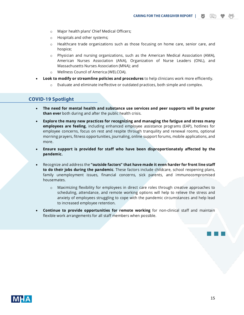- o Major health plans' Chief Medical Officers;
- o Hospitals and other systems;
- o Healthcare trade organizations such as those focusing on home care, senior care, and hospice;
- o Physician and nursing organizations, such as the American Medical Association (AMA), American Nurses Association (ANA), Organization of Nurse Leaders (ONL), and Massachusetts Nurses Association (MNA); and
- o Wellness Council of America (WELCOA).
- **Look to modify or streamline policies and procedures** to help clinicians work more efficiently.
	- Evaluate and eliminate ineffective or outdated practices, both simple and complex.

## **COVID-19 Spotlight**

- **The need for mental health and substance use services and peer supports will be greater than ever** both during and after the public health crisis.
- **Explore the many new practices for recognizing and managing the fatigue and stress many employees are feeling**, including enhanced employee assistance programs (EAP), hotlines for employee concerns, focus on rest and respite through tranquility and renewal rooms, optional morning prayers, fitness opportunities, journaling, online support forums, mobile applications, and more.
- **Ensure support is provided for staff who have been disproportionately affected by the pandemic.**
- Recognize and address the **"outside factors" that have made it even harder for front line staff to do their jobs during the pandemic**. These factors include childcare, school reopening plans, family unemployment issues, financial concerns, sick parents, and immunocompromised housemates.
	- o Maximizing flexibility for employees in direct care roles through creative approaches to scheduling, attendance, and remote working options will help to relieve the stress and anxiety of employees struggling to cope with the pandemic circumstances and help lead to increased employee retention.
- **Continue to provide opportunities for remote working** for non-clinical staff and maintain flexible work arrangements for all staff members when possible.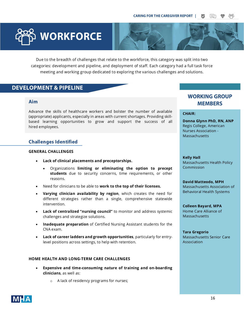

Due to the breadth of challenges that relate to the workforce, this category was split into two categories: development and pipeline, and deployment of staff. Each category had a full task force meeting and working group dedicated to exploring the various challenges and solutions.

## **DEVELOPMENT & PIPELINE**

## **Aim**

Advance the skills of healthcare workers and bolster the number of available (appropriate) applicants, especially in areas with current shortages. Providing skillbased learning opportunities to grow and support the success of all hired employees.

## **Challenges Identified**

#### **GENERAL CHALLENGES**

- **Lack of clinical placements and preceptorships.**
	- Organizations **limiting or eliminating the option to precept students** due to security concerns, time requirements, or other reasons.
- Need for clinicians to be able to **work to the top of their licenses.**
- **Varying clinician availability by region**, which creates the need for different strategies rather than a single, comprehensive statewide intervention.
- **Lack of centralized "nursing council"** to monitor and address systemic challenges and strategize solutions.
- **Inadequate preparation** of Certified Nursing Assistant students for the CNA exam.
- **Lack of career ladders and growth opportunities**, particularly for entrylevel positions across settings, to help with retention.

#### **HOME HEALTH AND LONG-TERM CARE CHALLENGES**

- **Expensive and time-consuming nature of training and on-boarding clinicians**, as well as:
	- o A lack of residency programs for nurses;

## **WORKING GROUP MEMBERS**

#### **CHAIR:**

**Donna Glynn PhD, RN, ANP** Regis College, American Nurses Association - **Massachusetts** 

**Kelly Hall** Massachusetts Health Policy Commission

#### **David Matteodo, MPH**

Massachusetts Association of Behavioral Health Systems

**Colleen Bayard, MPA** Home Care Alliance of **Massachusetts** 

**Tara Gregorio** Massachusetts Senior Care Association

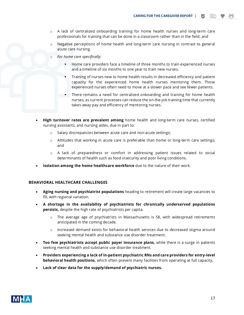**CARING FOR THE CAREGIVER REPORT |**

- o A lack of centralized onboarding training for home health nurses and long-term care professionals for training that can be done in a classroom rather than in the field; and
- $\circ$  Negative perceptions of home health and long-term care nursing in contrast to general acute care nursing.
- o *For home care specifically:*
	- Home care providers face a timeline of three months to train experienced nurses and a timeline of six months to one year to train new nurses.
	- Training of nurses new to home health results in decreased efficiency and patient capacity for the experienced home health nurses mentoring them. Those experienced nurses often need to move at a slower pace and see fewer patients.
	- There remains a need for centralized onboarding and training for home health nurses, as current processes can reduce the on-the-job training time that currently takes away pay and efficiency of mentoring nurses.
- **High turnover rates are prevalent among** home health and long-term care nurses, certified nursing assistants, and nursing aides, due in part to:
	- o Salary discrepancies between acute care and non-acute settings;
	- $\circ$  Attitudes that working in acute care is preferable than home or long-term care settings; and
	- o A lack of preparedness or comfort in addressing patient issues related to social determinants of health such as food insecurity and poor living conditions.
- **Isolation among the home healthcare workforce** due to the nature of their work.

#### **BEHAVIORAL HEALTHCARE CHALLENGES**

- **Aging nursing and psychiatrist populations** heading to retirement will create large vacancies to fill, with regional variation.
- **A shortage in the availability of psychiatrists for chronically underserved populations persists,** despite the high rate of psychiatrists per capita.
	- $\circ$  The average age of psychiatrists in Massachusetts is 58, with widespread retirements anticipated in the coming decade.
	- $\circ$  Increased demand exists for behavioral health services due to decreased stigma around seeking mental health and substance use disorder treatment.
- **Too few psychiatrists accept public payer insurance plans,** while there is a surge in patients seeking mental health and substance use disorder treatment.
- **Providers experiencing a lack of in-patient psychiatric RNs and care providers for entry-level behavioral health positions,** which often prevent many facilities from operating at full capacity**.**
- **Lack of clear data for the supply/demand of psychiatric nurses.**

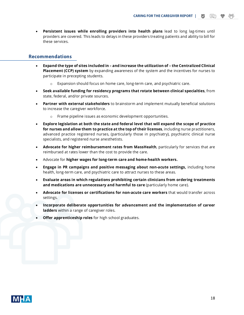• **Persistent issues while enrolling providers into health plans** lead to long lag-times until providers are covered. This leads to delays in these providers treating patients and ability to bill for these services.

## **Recommendations**

- **Expand the type of sites included in – and increase the utilization of – the Centralized Clinical Placement (CCP) system** by expanding awareness of the system and the incentives for nurses to participate in precepting students.
	- o Expansion should focus on home care, long-term care, and psychiatric care.
- **Seek available funding for residency programs that rotate between clinical specialties**, from state, federal, and/or private sources.
- **Partner with external stakeholders** to brainstorm and implement mutually beneficial solutions to increase the caregiver workforce.
	- Frame pipeline issues as economic development opportunities.
- **Explore legislation at both the state and federal level that will expand the scope of practice for nurses and allow them to practice at the top of their licenses**, including nurse practitioners, advanced practice registered nurses, (particularly those in psychiatry), psychiatric clinical nurse specialists, and registered nurse anesthetists.
- **Advocate for higher reimbursement rates from MassHealth**, particularly for services that are reimbursed at rates lower than the cost to provide the care.
- Advocate for **higher wages for long-term care and home-health workers.**
- **Engage in PR campaigns and positive messaging about non-acute settings,** including home health, long-term care, and psychiatric care to attract nurses to these areas.
- **Evaluate areas in which regulations prohibiting certain clinicians from ordering treatments and medications are unnecessary and harmful to care** (particularly home care).
- **Advocate for licenses or certifications for non-acute care workers** that would transfer across settings.
- **Incorporate deliberate opportunities for advancement and the implementation of career ladders** within a range of caregiver roles.
- **Offer apprenticeship roles** for high school graduates.

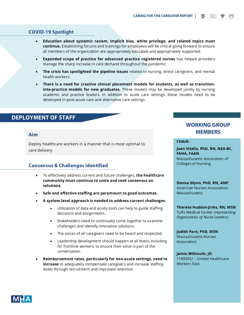## **COVID-19 Spotlight**

- **Education about systemic racism, implicit bias, white privilege, and related topics must continue.** Establishing forums and trainings for employees will be critical going forward to ensure all members of the organization are appropriately educated and appropriately supported.
- **Expanded scope of practice for advanced practice registered nurses** has helped providers manage the sharp increase in care demand throughout the pandemic.
- **The crisis has spotlighted the pipeline issues** related to nursing, direct caregivers, and mental health workers.
- **There is a need for creative clinical placement models for students, as well as transitioninto-practice models for new graduates.** These models may be developed jointly by nursing academic and practice leaders. In addition to acute care settings, these models need to be developed in post-acute care and alternative care settings.

## **DEPLOYMENT OF STAFF**

#### **Aim**

Deploy healthcare workers in a manner that is most optimal to care delivery.

## **Consensus & Challenges Identified**

- To effectively address current and future challenges, **the healthcare community must continue to unite and seek consensus on solutions.**
- **Safe and effective staffing are paramount to good outcomes.**
- **A system-level approach is needed to address current challenges.**
	- Utilization of data and acuity tools can help to guide staffing decisions and assignments.
	- Stakeholders need to continually come together to examine challenges and identify innovative solutions.
	- The voices of *all* caregivers need to be heard and respected.
	- Leadership development should happen at all levels, including for frontline workers, to ensure their voice is part of the conversation.
- **Reimbursement rates, particularly for non-acute settings, need to increase** to adequately compensate caregivers and increase staffing levels through recruitment and improved retention.

# **WORKING GROUP<br>MEMBERS**

目

#### **CHAIR:**

**Joan Vitello, PhD, RN, NEA-BC, FAHA, FAAN** Massachusetts Association of Colleges of Nursing

**Donna Glynn**, **PhD, RN, ANP**, American Nurses Association-**Massachusetts** 

**Therese Hudson-Jinks, RN, MSN** Tufts Medical Center *(representing Organization of Nurse Leaders)*

**Judith Pare, PhD, MSN** Massachusetts Nurses Association

**Jamie Willmuth, JD**, 1199SEIU – United Healthcare Workers East

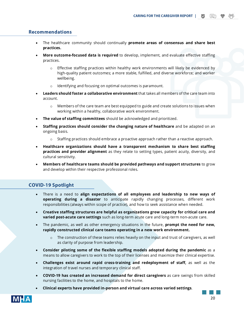### **Recommendations**

- The healthcare community should continually **promote areas of consensus and share best practices.**
- **More outcome-focused data is required** to develop, implement, and evaluate effective staffing practices.
	- $\circ$  Effective staffing practices within healthy work environments will likely be evidenced by high-quality patient outcomes; a more stable, fulfilled, and diverse workforce; and worker wellbeing.
	- o Identifying and focusing on optimal outcomes is paramount.
- **Leaders should foster a collaborative environment** that takes all members of the care team into account.
	- $\circ$  Members of the care team are best equipped to guide and create solutions to issues when working within a healthy, collaborative work environment.
- **The value of staffing committees** should be acknowledged and prioritized.
- **Staffing practices should consider the changing nature of healthcare** and be adapted on an ongoing basis.
	- o Staffing practices should embrace a proactive approach rather than a reactive approach.
- **Healthcare organizations should have a transparent mechanism to share best staffing practices and provider alignment** as they relate to setting types, patient acuity, diversity, and cultural sensitivity.
- **Members of healthcare teams should be provided pathways and support structures** to grow and develop within their respective professional roles.

## **COVID-19 Spotlight**

- There is a need to **align expectations of all employees and leadership to new ways of operating during a disaster** to anticipate rapidly changing processes, different work responsibilities (always within scope of practice), and how to seek assistance when needed.
- **Creative staffing structures are helpful as organizations grow capacity for critical care and varied post-acute care settings** such as long-term acute care and long-term non-acute care.
- The pandemic, as well as other emergency situations in the future, **prompt the need for new, rapidly constructed clinical care teams operating in a new work environment.** 
	- o The construction of these teams relies heavily on the input and trust of caregivers, as well as clarity of purpose from leadership.
- **Consider piloting some of the flexible staffing models adopted during the pandemic** as a means to allow caregivers to work to the top of their licenses and maximize their clinical expertise.
- **Challenges exist around rapid cross-training and redeployment of staff,** as well as the integration of travel nurses and temporary clinical staff.
- **COVID-19 has created an increased demand for direct caregivers** as care swings from skilled nursing facilities to the home, and hospitals to the home.
- **Clinical experts have provided in-person and virtual care across varied settings**.

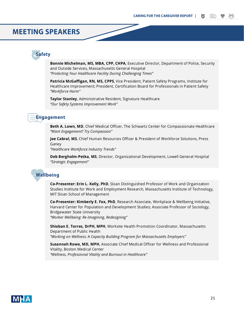## **MEETING SPEAKERS**

## **Safety**

**Bonnie Michelman, MS, MBA, CPP, CHPA**, Executive Director, Department of Police, Security and Outside Services, Massachusetts General Hospital *"Protecting Your Healthcare Facility During Challenging Times"*

**Patricia McGaffigan, RN, MS, CPPS**, Vice President, Patient Safety Programs, Institute for Healthcare Improvement; President, Certification Board for Professionals in Patient Safety *"Workforce Harm"*

**Taylor Stanley**, Administrative Resident, Signature Healthcare *"Our Safety Systems Improvement Work"*

## **Engagement**

**Beth A. Lown, MD**, Chief Medical Officer, The Schwartz Center for Compassionate Healthcare *"Want Engagement? Try Compassion"*

**Joe Cabral, MS**, Chief Human Resources Officer & President of Workforce Solutions, Press Ganey

*"Healthcare Workforce Industry Trends"*

**Deb Bergholm-Petka, MS**, Director, Organizational Development, Lowell General Hospital *"Strategic Engagement"*

## **Wellbeing**

**Co-Presenter: Erin L. Kelly, PhD**, Sloan Distinguished Professor of Work and Organization Studies Institute for Work and Employment Research, Massachusetts Institute of Technology, MIT Sloan School of Management

**Co-Presenter: Kimberly E. Fox, PhD**, Research Associate, Workplace & Wellbeing Initiative, Harvard Center for Population and Development Studies; Associate Professor of Sociology, Bridgewater State University *"Worker Wellbeing: Re-Imagining, Redesigning"*

**Shioban E. Torres, DrPH, MPH**, Worksite Health Promotion Coordinator, Massachusetts Department of Public Health *"Working on Wellness: A Capacity Building Program for Massachusetts Employers"*

**Susannah Rowe, MD, MPH**, Associate Chief Medical Officer for Wellness and Professional Vitality, Boston Medical Center *"Wellness, Professional Vitality and Burnout in Healthcare"*

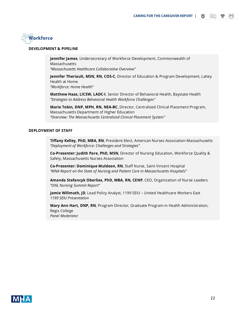

#### **DEVELOPMENT & PIPELINE**

**Jennifer James**, Undersecretary of Workforce Development, Commonwealth of Massachusetts *"Massachusetts Healthcare Collaborative Overview"*

**Jennifer Theriault, MSN, RN, COS-C**, Director of Education & Program Development, Lahey Health at Home *"Workforce: Home Health"*

**Matthew Haas, LICSW, LADC-I**, Senior Director of Behavioral Health, Baystate Health *"Strategies to Address Behavioral Health Workforce Challenges"*

**Marie Tobin, DNP, MPH, RN, NEA-BC**, Director, Centralized Clinical Placement Program, Massachusetts Department of Higher Education *"Overview: The Massachusetts Centralized Clinical Placement System"*

#### **DEPLOYMENT OF STAFF**

**Tiffany Kelley, PhD, MBA, RN**, President-Elect, American Nurses Association-Massachusetts *"Deployment of Workforce: Challenges and Strategies"*

**Co-Presenter: Judith Pare, PhD, MSN**, Director of Nursing Education, Workforce Quality & Safety, Massachusetts Nurses Association

**Co-Presenter: Dominique Muldoon, RN**, Staff Nurse, Saint Vincent Hospital *"MNA Report on the State of Nursing and Patient Care in Massachusetts Hospitals"*

**Amanda Stefancyk Oberlies, PhD, MBA, RN, CENP**, CEO, Organization of Nurse Leaders *"ONL Nursing Summit Report"*

**Jamie Willmuth, JD**, Lead Policy Analyst, 1199 SEIU – United Healthcare Workers East *1199 SEIU Presentation* 

**Mary Ann Hart, DNP, RN**, Program Director, Graduate Program in Health Administration, Regis College *Panel Moderator*

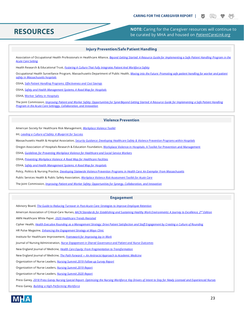## **RESOURCES**

**NOTE:** Caring for the Caregiver resources will continue to be curated by MHA and housed on *[PatientCareLink.org](http://patientcarelink.org/)*

#### **Injury Prevention/Safe Patient Handling**

Association of Occupational Health Professionals in Healthcare Alliance, *[Beyond Getting Started: A Resource Guide for Implementing a Safe Patient Handling](https://aohp.org/aohp/WORKTOOLS/PublicationsforYourPractice/BeyondGettingStarted.aspx) Program in the [Acute Care Setting](https://aohp.org/aohp/WORKTOOLS/PublicationsforYourPractice/BeyondGettingStarted.aspx)*

Health Research & Educational Trust, *[Fostering A Culture That Fully Integrates Patient And Workforce Safety](https://www.jhsph.edu/research/centers-and-institutes/johns-hopkins-education-and-research-center-for-occupational-safety-and-health/Nursing-Safety-Culture-Resources.html)*

Occupational Health Surveillance Program, Massachusetts Department of Public Health, *Moving into the Future: Promoting safe patient handling for worker and patient [safety in Massachusetts hospitals](https://www.mass.gov/doc/moving-into-the-future-promoting-safe-patient-handling-for-worker-and-patient-safety-in/download)*

OSHA, *[Safe Patient Handling Programs: Effectiveness and Cost Savings](https://www.osha.gov/Publications/OSHA3279.pdf)*

OSHA, *[Safety and Health Management Systems: A Road Map for Hospitals](https://www.ors.od.nih.gov/sr/dohs/Documents/DLib_2.4_SHMS_roadmap_508.pdf)*

OSHA[, Worker Safety in Hospitals](https://www.osha.gov/hospitals)

The Joint Commission, *[Improving Patient and Worker Safety: Opportunities for SynerBeyond Getting Started: A Resource Guide for Implementing a Safe Patient Handling](https://www.jointcommission.org/-/media/deprecated-unorganized/imported-assets/tjc/system-folders/topics-library/tjc-improvingpatientandworkersafety-monographpdf.pdf?db=web&hash=2772E4D4E100BCE47F731AA1F39471A4)  [Program in the Acute Care Settingg](https://www.jointcommission.org/-/media/deprecated-unorganized/imported-assets/tjc/system-folders/topics-library/tjc-improvingpatientandworkersafety-monographpdf.pdf?db=web&hash=2772E4D4E100BCE47F731AA1F39471A4)y, Collaboration, and Innovation*

#### **Violence Prevention**

American Society for Healthcare Risk Management, *[Workplace Violence Toolkit](https://www.ashrm.org/sites/default/files/ashrm/Workplace-Violence-Tool.pdf)*

IHI, *[Leading a Culture of Safety: A Blueprint for Success](http://www.ihi.org/resources/Pages/Publications/Leading-a-Culture-of-Safety-A-Blueprint-for-Success.aspx)*

Massachusetts Health & Hospital Association, *[Security Guidance: Developing Healthcare Safety & Violence Prevention Programs within Hospitals](https://www.aha.org/system/files/media/file/2019/08/mha-developing-healthcare-safety-violence-prevention-programs-in-hospitals.pdf)*

Oregon Association of Hospitals Research & Education Foundation[, Workplace Violence in Hospitals: A Toolkit for Prevention and Management](https://www.oahhs.org/safety)

OSHA, *[Guidelines for Preventing Workplace Violence for Healthcare and Social Service Workers](https://www.osha.gov/Publications/osha3148.pdf)*

OSHA, *[Preventing Workplace Violence: A Road Map for Healthcare Facilities](https://www.osha.gov/Publications/OSHA3827.pdf)*

OSHA, *[Safety and Health Management Systems: A Road Map for Hospitals](https://www.hsdl.org/?abstract&did=789022)*

Policy, Politics & Nursing Practice, *[Developing Statewide Violence Prevention Programs in Health Care: An Exemplar From Massachusetts](https://journals.sagepub.com/doi/abs/10.1177/1527154420987180)*

Public Services Health & Public Safety Association, *[Workplace Violence Risk Assessment Toolkit for Acute Care](https://terraform-20180423174453746800000001.s3.amazonaws.com/attachments/cjiisgqdp00dkfxj7w66n92vf-vprasaen0417-workplace-violence-risk-assessment-acute-care-toolkit-v1-1-2017-04-25.pdf)*

The Joint Commission, *[Improving Patient and Worker Safety: Opportunities for](https://www.jointcommission.org/-/media/tjc/documents/resources/patient-safety-topics/patient-safety/tjc-improvingpatientandworkersafety-monograph.pdf) Synergy, Collaboration, and Innovation*

#### **Engagement**

Advisory Board, *[The Guide to Reducing Turnover in Post-Acute Care: Strategies to Improve Employee Retention](https://www.advisory.com/topics/post-acute-care/2018/06/the-guide-to-reducing-turnover-in-post-acute-care)*

American Association of Critical-Care Nurses, *[AACN Standards for Establishing and Sustaining Healthy Work Environments: A Journey to Excellence, 2nd](https://www.aacn.org/WD/HWE/Docs/HWEStandards.pdf) Edition*

AMN Healthcare White Paper, *[2020 Healthcare Trends Revisited](https://www.amnhealthcare.com/2020-healthcare-trends-revisited/)*

Cipher Health, *Health [Executive Rounding as a Management Strategy: Drive Patient Satisfaction and Staff Engagement by Creating a Culture of Rounding](https://www.healthstream.com/docs/default-source/white-papers/executive_rounding_whitepaper_final_.pdf?sfvrsn=2)*

HR Pulse Magazine, *[Enhancing the Engagement Strategy at Mayo Clinic](https://www.ashhra.org/strategies-cultivate-joy-workplace)*

Institute for Healthcare Improvement, *[Framework for Improving Joy in Work](http://www.ihi.org/resources/Pages/IHIWhitePapers/Framework-Improving-Joy-in-Work.aspx)*

Journal of Nursing Administration, *[Nurse Engagement in Shared Governance and Patient and Nurse Outcomes](https://www.ncbi.nlm.nih.gov/pmc/articles/PMC5117656/)*

New England Journal of Medicine, *[Health Care Equity: From Fragmentation to Transformation](https://catalyst.nejm.org/doi/full/10.1056/CAT.20.0414)*

New England Journal of Medicine, *The Path Forward — [An Antiracist Approach to Academic Medicine](https://www.nejm.org/doi/full/10.1056/NEJMpv2024535)*

Organization of Nurse Leaders, *[Nursing Summit 2019 Follow-up Survey Report](https://patientcarelink.org/wp-content/uploads/2019/12/ONL-Nursing-Summit-Report-2-.pdf)*

Organization of Nurse Leaders, *[Nursing Summit 2019 Report](https://onl.memberclicks.net/assets/ONL%20Nursing%20Summit%20Report.pdf)*

Organization of Nurse Leaders, *[Nursing Summit 2020 Report](https://onl.memberclicks.net/assets/docs/meetings/NursingSummit2020/2020%20Nursing%20Summit_Web%20Ready.pdf)*

Press Ganey, *2018 Press Ganey Nursing Special Report- [Optimizing the Nursing Workforce: Key Drivers of Intent to Stay for Newly Licensed and Experienced Nurses](https://www.pressganey.com/resources/white-papers/2018-nursing-special-report)*

Press Ganey, *[Building a High-Performing Workforce](https://www.pressganey.com/resources/white-papers/building-a-high-performing-workforce)*

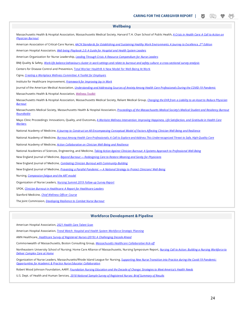| <b>Wellbeing</b>                                                                                                                                                                                |  |
|-------------------------------------------------------------------------------------------------------------------------------------------------------------------------------------------------|--|
| Massachusetts Health & Hospital Association, Massachusetts Medical Society, Harvard T.H. Chan School of Public Health, A Crisis in Health Care: A Call to Action on<br><b>Physician Burnout</b> |  |
| American Association of Critical-Care Nurses, AACN Standards for Establishing and Sustaining Healthy Work Environments: A Journey to Excellence, 2 <sup>nd</sup> Edition                        |  |
| American Hospital Association, <i>Well-being Playbook 2.0: A Guide for Hospital and Health System Leaders</i>                                                                                   |  |
| American Organization for Nurse Leadership, <i>Leading Through Crisis: A Resource Compendium for Nurse Leaders</i>                                                                              |  |
| BMI Quality & Safety, Work-life balance behaviours cluster in work settings and relate to burnout and safety culture: a cross-sectional survey analysis                                         |  |
| Centers for Disease Control and Prevention, Total Worker Health® A New Model for Well-Being At Work                                                                                             |  |
| Cigna, Creating a Workplace Wellness Committee: A Toolkit for Employers                                                                                                                         |  |
| Institute for Healthcare Improvement, Framework for Improving Joy in Work                                                                                                                       |  |
| Journal of the American Medical Association, <i>Understanding and Addressing Sources of Anxiety Among Health Care Professionals During the COVID-19 Pandemic</i>                                |  |
| Massachusetts Health & Hospital Association, Wellness Toolkit                                                                                                                                   |  |
| Massachusetts Health & Hospital Association, Massachusetts Medical Society, Reliant Medical Group, Changing the EHR from a Liability to an Asset to Reduce Physician<br><b>Burnout</b>          |  |
| Massachusetts Medical Society, Massachusetts Health & Hospital Association, Proceedings of the Massachusetts Medical Society's Medical Student and Residency Burnout<br>Roundtable              |  |
| Mayo Clinic Proceedings: Innovations, Quality, and Outcomes, A Worksite Wellness Intervention: Improving Happiness, Life Satisfaction, and Gratitude in Health Care<br><u>Workers</u>           |  |
| National Academy of Medicine, A Journey to Construct an All-Encompassing Conceptual Model of Factors Affecting Clinician Well-Being and Resilience                                              |  |
| National Academy of Medicine, Burnout Among Health Care Professionals: A Call to Explore and Address This Underrecognized Threat to Safe, High-Quality Care                                     |  |
| National Academy of Medicine, <i>Action Collaborative on Clinician Well-Being and Resilience</i>                                                                                                |  |
| National Academies of Sciences, Engineering, and Medicine, Taking Action Against Clinician Burnout: A Systems Approach to Professional Well-Being                                               |  |
| New England Journal of Medicine, <b>Beyond Burnout</b> — Redesigning Care to Restore Meaning and Sanity for Physicians                                                                          |  |
| New England Journal of Medicine, Combating Clinician Burnout with Community-Building                                                                                                            |  |
| New England Journal of Medicine, <i>Preventing a Parallel Pandemic — A National Strategy to Protect Clinicians' Well-Being</i>                                                                  |  |
| Nursing, Compassion fatigue and the ART model                                                                                                                                                   |  |
| Organization of Nurse Leaders, Nursing Summit 2019 Follow-up Survey Report                                                                                                                      |  |
| SPOK, Clinician Burnout in Healthcare: A Report for Healthcare Leaders                                                                                                                          |  |
| Stanford Medicine, <i>Chief Wellness Officer Course</i>                                                                                                                                         |  |
| The Joint Commission, Developing Resilience to Combat Nurse Burnout                                                                                                                             |  |
|                                                                                                                                                                                                 |  |

#### **Workforce Development & Pipeline**

American Hospital Association, *[2021 Health Care Talent Scan](https://www.aha.org/aha-talent-scan)*

American Hospital Association, *[Trend Watch: Hospital and Health System Workforce Strategic Planning](https://www.aha.org/guidesreports/2020-01-08-trendwatch-hospital-and-health-system-workforce-strategic-planning)*

AMN Healthcare, *[Healthcare Survey of Registered Nurses \(2019\): A Challenging Decade Ahead](https://www.amnhealthcare.com/2019-survey-of-registered-nurses-a-challenging-decade-ahead/)*

Commonwealth of Massachusetts, Boston Consulting Group, *[Massachusetts Healthcare Collaborative Kick-off](https://archives.lib.state.ma.us/bitstream/handle/2452/820440/on1140217683-2019-10-18-presentation.pdf?sequence=3&isAllowed=y)*

Northeastern University School of Nursing; Home Care Alliance of Massachusetts, Nursing Symposium Report, *[Nursing Call to Action: Building a Nursing Workforce to](https://www.thinkhomecare.org/page/nurse_symposium)  [Deliver Complex Care at Home](https://www.thinkhomecare.org/page/nurse_symposium)*

Organization of Nurse Leaders, Massachusetts/Rhode Island League for Nursing, *[Supporting New Nurse Transition into Practice during the Covid-19 Pandemic:](https://onl.memberclicks.net/assets/docs/NewNurseGroupSupport/New_Nurse_Transition_Report_COVID-19_Pandemic.pdf)  [Opportunities for Academic & Practice Nurse Educator Collaboration](https://onl.memberclicks.net/assets/docs/NewNurseGroupSupport/New_Nurse_Transition_Report_COVID-19_Pandemic.pdf)*

Robert Wood Johnson Foundation, AARP, *[Foundation Nursing Education and the Decade of Change: Strategies to Meet America's Health Needs](https://campaignforaction.org/wp-content/uploads/2017/12/NursingEducationDecadeOfChange-H508.pdf)*

U.S. Dept. of Health and Human Services, *[2018 National Sample Survey of Registered Nurses: Brief Summary of Results](https://data.hrsa.gov/DataDownload/NSSRN/GeneralPUF18/2018_NSSRN_Summary_Report-508.pdf)*